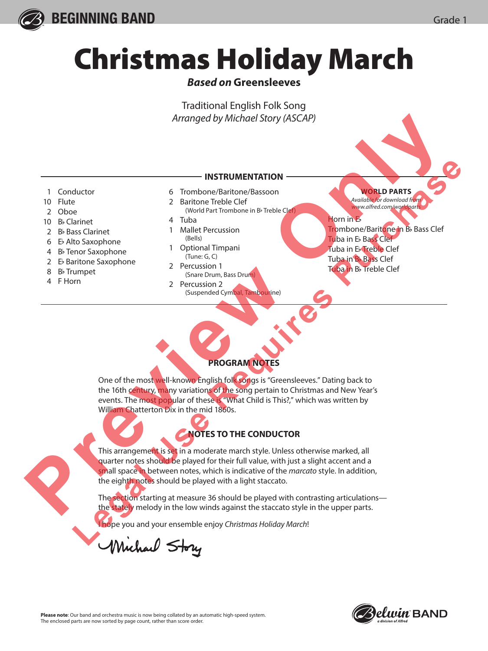

# Christmas Holiday March

### *Based on* **Greensleeves**

Traditional English Folk Song *Arranged by Michael Story (ASCAP)*

**INSTRUMENTATION**

- 1 Conductor
- 10 Flute
- 2 Oboe
- 10 Bb Clarinet
- 2 Bb Bass Clarinet
- 6 Eb Alto Saxophone
- 4 Bb Tenor Saxophone
- 2 Eb Baritone Saxophone
- 8 Bb Trumpet
- 4 F Horn
- 6 Trombone/Baritone/Bassoon
- 2 Baritone Treble Clef (World Part Trombone in Bb Treble Clef)
- 4 Tuba
- 1 Mallet Percussion (Bells)
- 1 Optional Timpani (Tune: G, C)
- 2 Percussion 1 (Snare Drum, Bass Drum)
- 2 Percussion 2 (Suspended Cymbal, Tambourine)

**WORLD PARTS** *Available for download from www.alfred.com/worldparts*

Horn in E<sub>b</sub> Trombone/Baritone in B<sub>b</sub> Bass Clef Tuba in E<sub>b</sub> Bass Clef Tuba in Eb Treble Clef Tuba in Bb Bass Clef Tuba in B<sub>b</sub> Treble Clef

#### **PROGRAM NOTES**

One of the most well-known English folk songs is "Greensleeves." Dating back to the 16th century, many variations of the song pertain to Christmas and New Year's events. The most popular of these is "What Child is This?," which was written by William Chatterton Dix in the mid 1860s.

## **NOTES TO THE CONDUCTOR**

This arrangement is set in a moderate march style. Unless otherwise marked, all quarter notes should be played for their full value, with just a slight accent and a small space in between notes, which is indicative of the *marcato* style. In addition, the eighth notes should be played with a light staccato. **Prediction Conduction Conduction Conduction Conduction Conduction Conduction Conduction Conduction Conduction Conduction Conduction Conduction Conduction Conduction Conduction Conduction Conduction Conduction Conduction C Legal Use Complete Republicance Complete Republicance Complete Republicance Complete Complete Complete Complete Complete Complete Complete Complete Complete Complete Complete Complete Complete Complete Complete Complete C** 

The section starting at measure 36 should be played with contrasting articulations the stately melody in the low winds against the staccato style in the upper parts.

I hope you and your ensemble enjoy *Christmas Holiday March*!

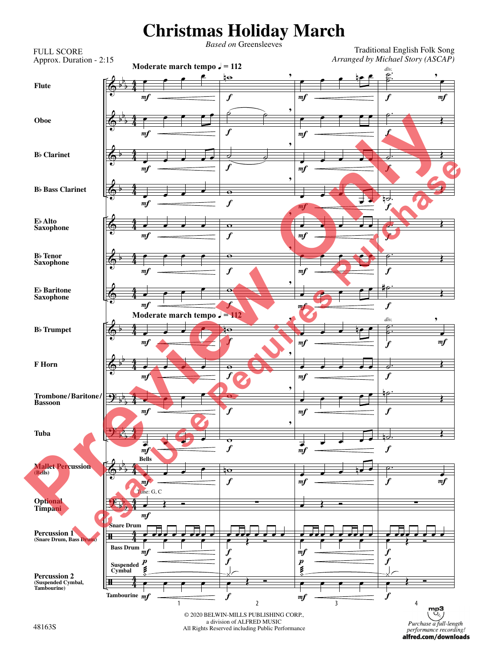# **Christmas Holiday March**

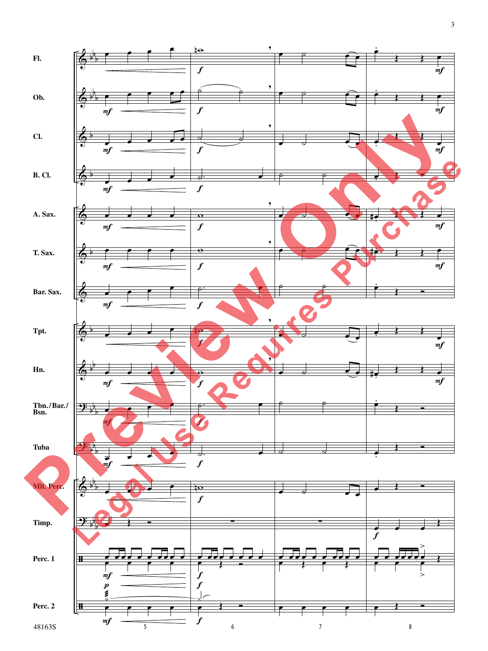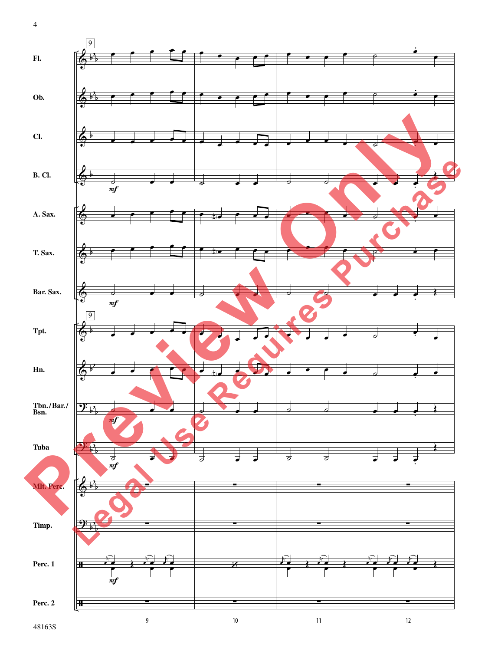

 $10$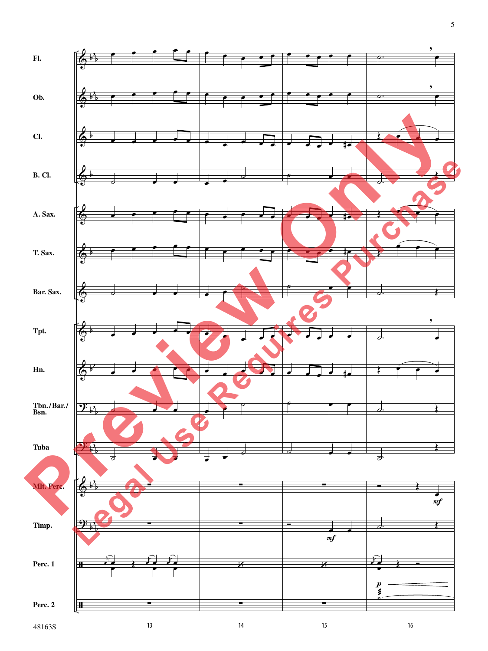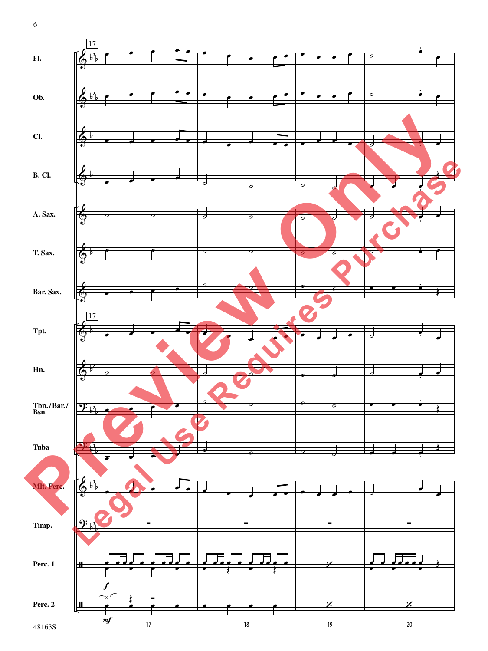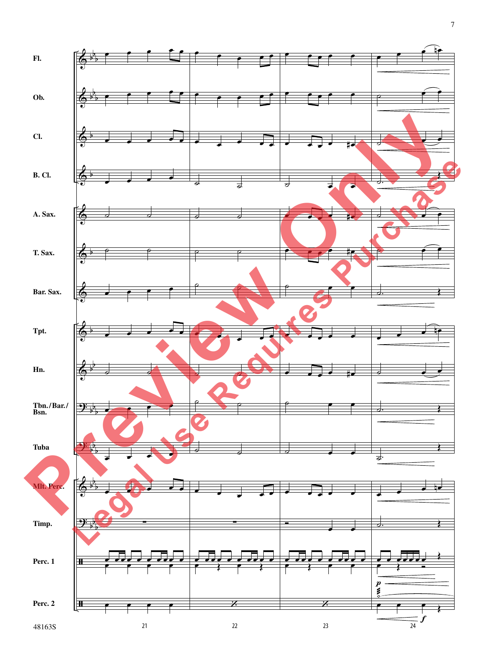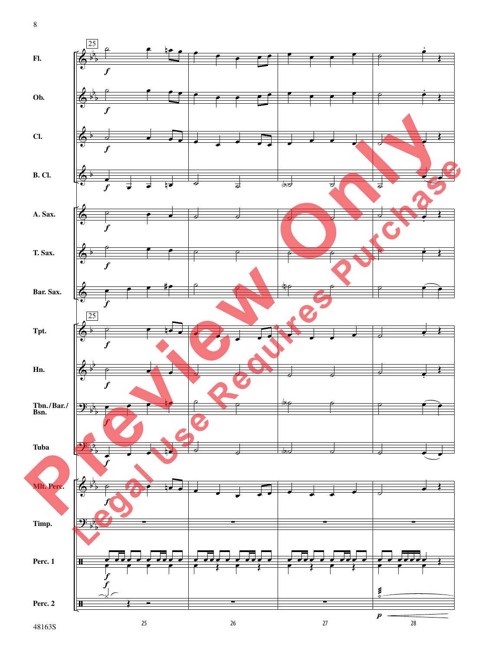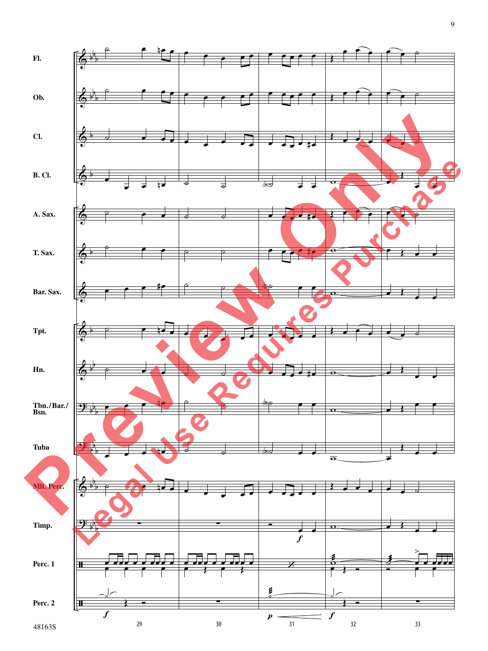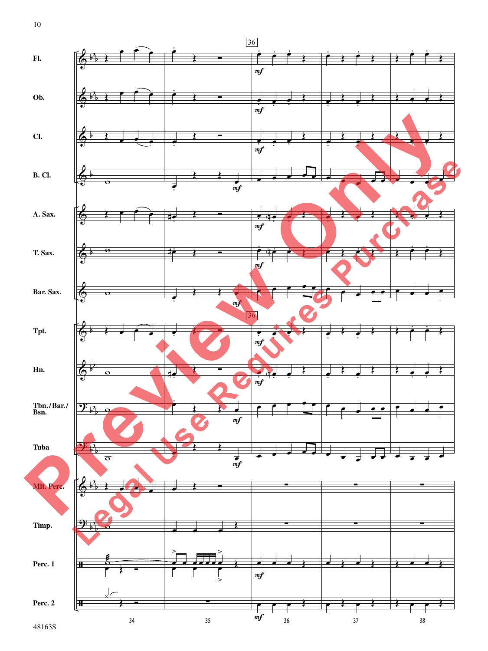

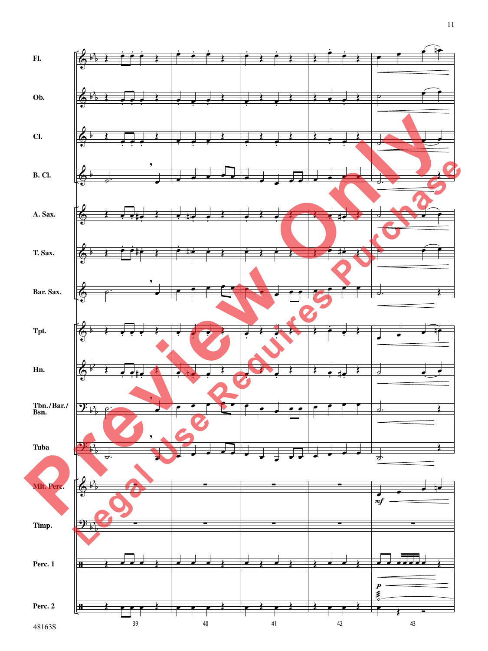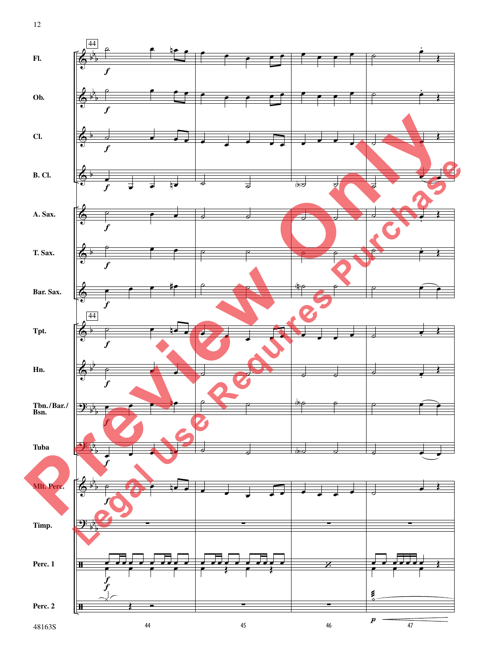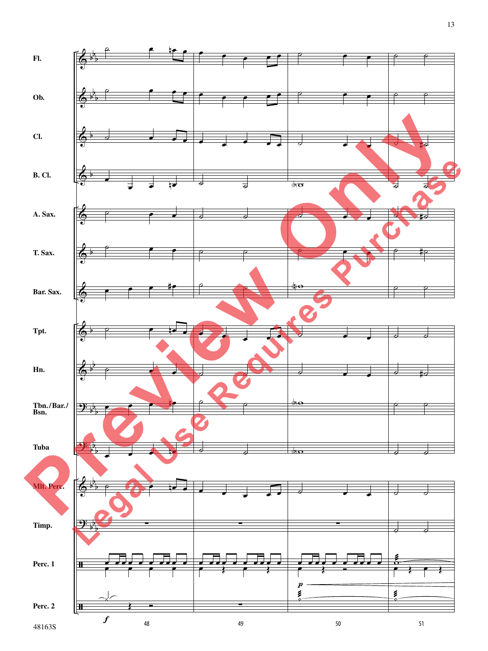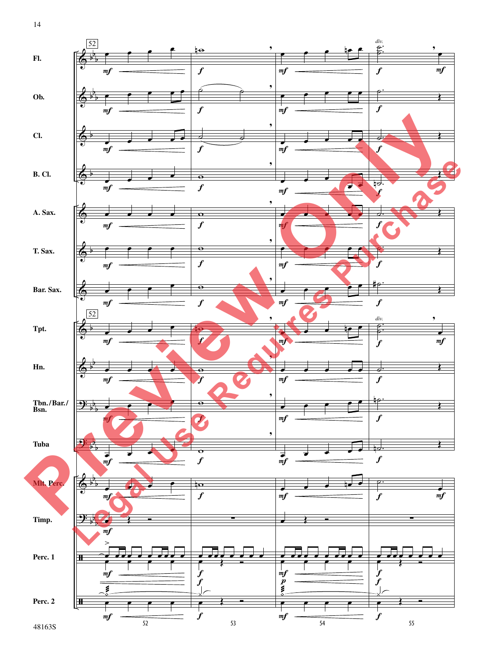

48163S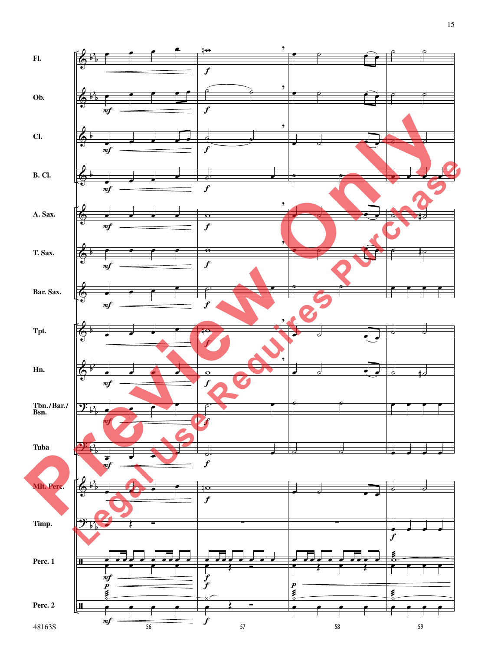